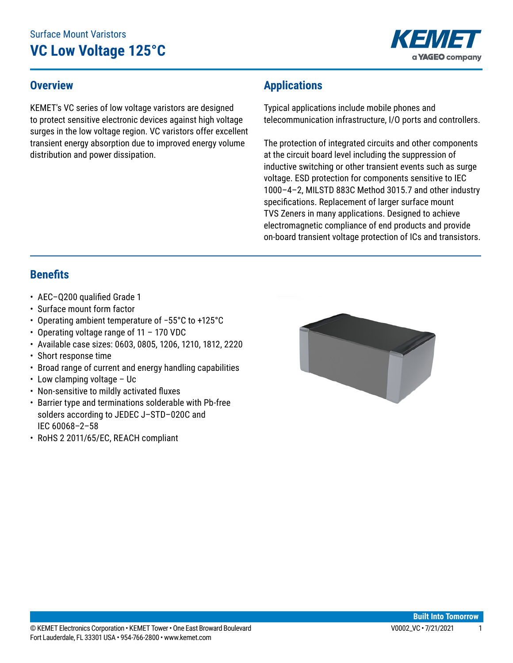

#### **Overview**

KEMET's VC series of low voltage varistors are designed to protect sensitive electronic devices against high voltage surges in the low voltage region. VC varistors offer excellent transient energy absorption due to improved energy volume distribution and power dissipation.

## **Applications**

Typical applications include mobile phones and telecommunication infrastructure, I/O ports and controllers.

The protection of integrated circuits and other components at the circuit board level including the suppression of inductive switching or other transient events such as surge voltage. ESD protection for components sensitive to IEC 1000–4–2, MILSTD 883C Method 3015.7 and other industry specifications. Replacement of larger surface mount TVS Zeners in many applications. Designed to achieve electromagnetic compliance of end products and provide on-board transient voltage protection of ICs and transistors.

#### **Benefits**

- AEC-Q200 qualified Grade 1
- Surface mount form factor
- • Operating ambient temperature of −55°C to +125°C
- Operating voltage range of 11 170 VDC
- Available case sizes: 0603, 0805, 1206, 1210, 1812, 2220
- Short response time
- Broad range of current and energy handling capabilities
- Low clamping voltage Uc
- Non-sensitive to mildly activated fluxes
- Barrier type and terminations solderable with Pb-free solders according to JEDEC J–STD–020C and IEC 60068–2–58
- RoHS 2 2011/65/EC, REACH compliant

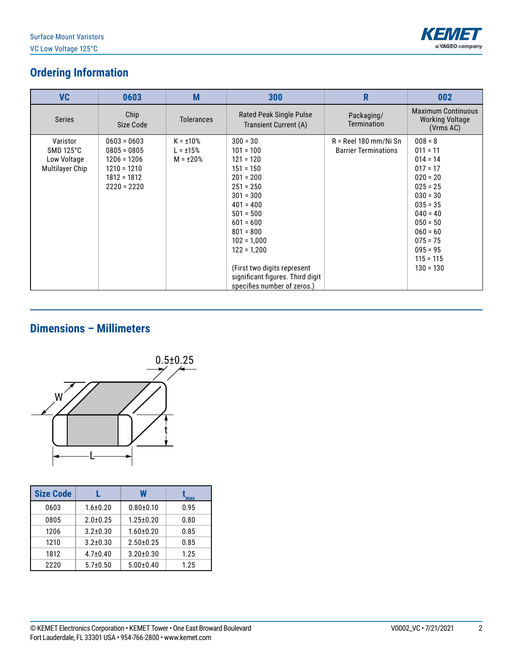

## **Ordering Information**

| <b>VC</b>                                                        | 0603                                                                                               | M                                                 | 300                                                                                                                                                                                                                                                                                                  | R                                                      | 002                                                                                                                                                                                                             |
|------------------------------------------------------------------|----------------------------------------------------------------------------------------------------|---------------------------------------------------|------------------------------------------------------------------------------------------------------------------------------------------------------------------------------------------------------------------------------------------------------------------------------------------------------|--------------------------------------------------------|-----------------------------------------------------------------------------------------------------------------------------------------------------------------------------------------------------------------|
| <b>Series</b>                                                    | Chip<br>Size Code                                                                                  | <b>Tolerances</b>                                 | Rated Peak Single Pulse<br>Transient Current (A)                                                                                                                                                                                                                                                     | Packaging/<br>Termination                              | <b>Maximum Continuous</b><br><b>Working Voltage</b><br>(Vrms AC)                                                                                                                                                |
| Varistor<br>$SMD 125^{\circ}C$<br>Low Voltage<br>Multilayer Chip | $0603 = 0603$<br>$0805 = 0805$<br>$1206 = 1206$<br>$1210 = 1210$<br>$1812 = 1812$<br>$2220 = 2220$ | $K = \pm 10\%$<br>$L = \pm 15%$<br>$M = \pm 20\%$ | $300 = 30$<br>$101 = 100$<br>$121 = 120$<br>$151 = 150$<br>$201 = 200$<br>$251 = 250$<br>$301 = 300$<br>$401 = 400$<br>$501 = 500$<br>$601 = 600$<br>$801 = 800$<br>$102 = 1,000$<br>$122 = 1,200$<br>(First two digits represent<br>significant figures. Third digit<br>specifies number of zeros.) | $R =$ Reel 180 mm/Ni Sn<br><b>Barrier Terminations</b> | $008 = 8$<br>$011 = 11$<br>$014 = 14$<br>$017 = 17$<br>$020 = 20$<br>$025 = 25$<br>$030 = 30$<br>$035 = 35$<br>$040 = 40$<br>$050 = 50$<br>$060 = 60$<br>$075 = 75$<br>$095 = 95$<br>$115 = 115$<br>$130 = 130$ |

## **Dimensions – Millimeters**



| <b>Size Code</b> |                | W               | max  |
|------------------|----------------|-----------------|------|
| 0603             | $1.6 + 0.20$   | $0.80 + 0.10$   | 0.95 |
| 0805             | $2.0 + 0.25$   | $1.25 \pm 0.20$ | 0.80 |
| 1206             | $3.2 \pm 0.30$ | $1.60 + 0.20$   | 0.85 |
| 1210             | $3.2 \pm 0.30$ | $2.50 + 0.25$   | 0.85 |
| 1812             | $4.7 \pm 0.40$ | $3.20 \pm 0.30$ | 1.25 |
| 2220             | $5.7 \pm 0.50$ | $5.00 \pm 0.40$ | 1.25 |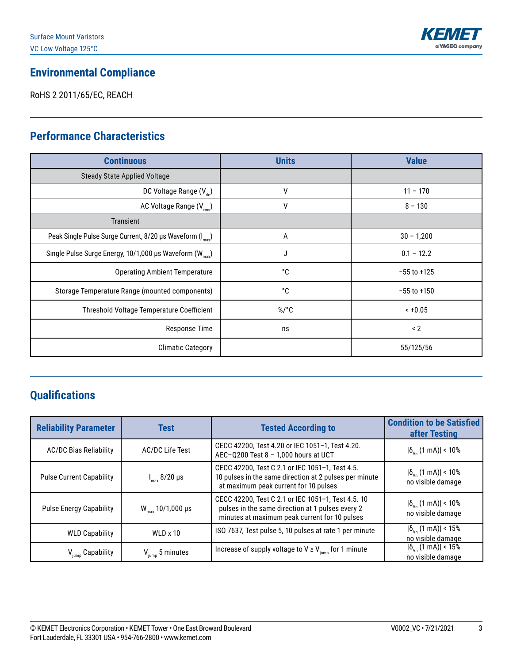

## **Environmental Compliance**

RoHS 2 2011/65/EC, REACH

## **Performance Characteristics**

| <b>Continuous</b>                                                     | <b>Units</b> | <b>Value</b>    |
|-----------------------------------------------------------------------|--------------|-----------------|
| <b>Steady State Applied Voltage</b>                                   |              |                 |
| DC Voltage Range (V <sub>do</sub> )                                   | ٧            | $11 - 170$      |
| AC Voltage Range (V <sub>rms</sub> )                                  | V            | $8 - 130$       |
| <b>Transient</b>                                                      |              |                 |
| Peak Single Pulse Surge Current, 8/20 µs Waveform (I <sub>max</sub> ) | Α            | $30 - 1,200$    |
| Single Pulse Surge Energy, 10/1,000 µs Waveform ( $W_{max}$ )         | J            | $0.1 - 12.2$    |
| <b>Operating Ambient Temperature</b>                                  | °C           | $-55$ to $+125$ |
| Storage Temperature Range (mounted components)                        | °C           | $-55$ to $+150$ |
| Threshold Voltage Temperature Coefficient                             | $\%$ /°C     | $< +0.05$       |
| <b>Response Time</b>                                                  | ns           | $\leq$ 2        |
| <b>Climatic Category</b>                                              |              | 55/125/56       |

# **Qualifications**

| <b>Reliability Parameter</b>    | <b>Test</b>                  | <b>Tested According to</b>                                                                                                                              | <b>Condition to be Satisfied</b><br>after Testing         |
|---------------------------------|------------------------------|---------------------------------------------------------------------------------------------------------------------------------------------------------|-----------------------------------------------------------|
| <b>AC/DC Bias Reliability</b>   | <b>AC/DC Life Test</b>       | CECC 42200, Test 4.20 or IEC 1051-1, Test 4.20.<br>AEC-Q200 Test $8 - 1,000$ hours at UCT                                                               | $ \delta_{v_n}(1 \text{ mA}) $ < 10%                      |
| <b>Pulse Current Capability</b> | $I_{max}$ 8/20 µs            | CECC 42200, Test C 2.1 or IEC 1051-1, Test 4.5.<br>10 pulses in the same direction at 2 pulses per minute<br>at maximum peak current for 10 pulses      | $ \delta_{v_n}(1 \text{ mA}) $ < 10%<br>no visible damage |
| <b>Pulse Energy Capability</b>  | $W_{\text{max}}$ 10/1,000 µs | CECC 42200, Test C 2.1 or IEC 1051-1, Test 4.5. 10<br>pulses in the same direction at 1 pulses every 2<br>minutes at maximum peak current for 10 pulses | $ \delta_{v_n}(1 \text{ mA}) $ < 10%<br>no visible damage |
| <b>WLD Capability</b>           | $WLD \times 10$              | ISO 7637, Test pulse 5, 10 pulses at rate 1 per minute                                                                                                  | $ \delta_{v_n}(1 \text{ mA}) $ < 15%<br>no visible damage |
| V <sub>iump</sub> Capability    | $V_{jump}$ 5 minutes         | Increase of supply voltage to $V \ge V_{\text{jump}}$ for 1 minute                                                                                      | $ \delta_{v_n}(1 \text{ mA}) $ < 15%<br>no visible damage |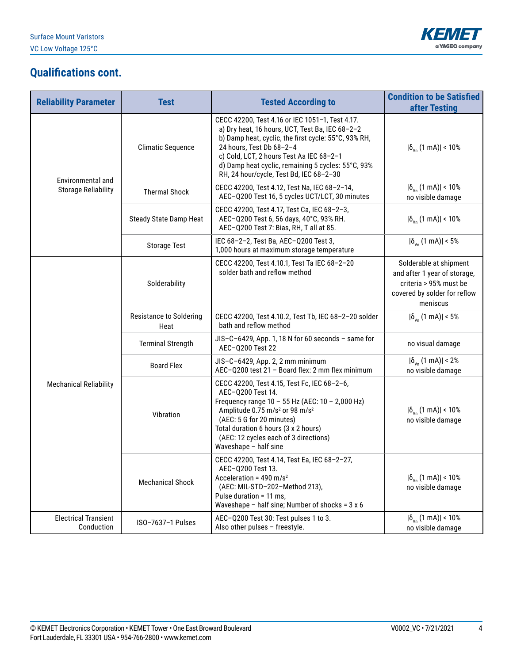

#### **Qualifications cont.**

| <b>Reliability Parameter</b>                    | <b>Test</b>                            | <b>Tested According to</b>                                                                                                                                                                                                                                                                                                          | <b>Condition to be Satisfied</b><br>after Testing                                                                            |
|-------------------------------------------------|----------------------------------------|-------------------------------------------------------------------------------------------------------------------------------------------------------------------------------------------------------------------------------------------------------------------------------------------------------------------------------------|------------------------------------------------------------------------------------------------------------------------------|
|                                                 | <b>Climatic Sequence</b>               | CECC 42200, Test 4.16 or IEC 1051-1, Test 4.17.<br>a) Dry heat, 16 hours, UCT, Test Ba, IEC 68-2-2<br>b) Damp heat, cyclic, the first cycle: 55°C, 93% RH,<br>24 hours, Test Db 68-2-4<br>c) Cold, LCT, 2 hours Test Aa IEC 68-2-1<br>d) Damp heat cyclic, remaining 5 cycles: 55°C, 93%<br>RH, 24 hour/cycle, Test Bd, IEC 68-2-30 | $ \delta_{v_n}$ (1 mA)  < 10%                                                                                                |
| Environmental and<br><b>Storage Reliability</b> | <b>Thermal Shock</b>                   | CECC 42200, Test 4.12, Test Na, IEC 68-2-14,<br>AEC-Q200 Test 16, 5 cycles UCT/LCT, 30 minutes                                                                                                                                                                                                                                      | $ \delta_{\nu_n}(1 \text{ mA}) $ < 10%<br>no visible damage                                                                  |
|                                                 | <b>Steady State Damp Heat</b>          | CECC 42200, Test 4.17, Test Ca, IEC 68-2-3,<br>AEC-Q200 Test 6, 56 days, 40°C, 93% RH.<br>AEC-Q200 Test 7: Bias, RH, T all at 85.                                                                                                                                                                                                   | $ \delta_{\nu_n}(1 \text{ mA}) $ < 10%                                                                                       |
|                                                 | <b>Storage Test</b>                    | IEC 68-2-2, Test Ba, AEC-Q200 Test 3,<br>1,000 hours at maximum storage temperature                                                                                                                                                                                                                                                 | $ \delta_{v_n}(1 \text{ mA}) $ < 5%                                                                                          |
|                                                 | Solderability                          | CECC 42200, Test 4.10.1, Test Ta IEC 68-2-20<br>solder bath and reflow method                                                                                                                                                                                                                                                       | Solderable at shipment<br>and after 1 year of storage,<br>criteria > 95% must be<br>covered by solder for reflow<br>meniscus |
|                                                 | <b>Resistance to Soldering</b><br>Heat | CECC 42200, Test 4.10.2, Test Tb, IEC 68-2-20 solder<br>bath and reflow method                                                                                                                                                                                                                                                      | $ \delta_{v_n}(1 \text{ mA}) $ < 5%                                                                                          |
|                                                 | <b>Terminal Strength</b>               | $JIS-C-6429$ , App. 1, 18 N for 60 seconds - same for<br>AEC-Q200 Test 22                                                                                                                                                                                                                                                           | no visual damage                                                                                                             |
|                                                 | <b>Board Flex</b>                      | JIS-C-6429, App. 2, 2 mm minimum<br>AEC-Q200 test 21 - Board flex: 2 mm flex minimum                                                                                                                                                                                                                                                | $ \delta_{v_n}(1 \text{ mA}) $ < 2%<br>no visible damage                                                                     |
| <b>Mechanical Reliability</b>                   | Vibration                              | CECC 42200, Test 4.15, Test Fc, IEC 68-2-6,<br>AEC-Q200 Test 14.<br>Frequency range 10 - 55 Hz (AEC: 10 - 2,000 Hz)<br>Amplitude 0.75 m/s <sup>2</sup> or 98 m/s <sup>2</sup><br>(AEC: 5 G for 20 minutes)<br>Total duration 6 hours (3 x 2 hours)<br>(AEC: 12 cycles each of 3 directions)<br>Waveshape - half sine                | $ \delta_{v_n}$ (1 mA)  < 10%<br>no visible damage                                                                           |
|                                                 | <b>Mechanical Shock</b>                | CECC 42200, Test 4.14, Test Ea, IEC 68-2-27,<br>AEC-Q200 Test 13.<br>Acceleration = 490 m/s <sup>2</sup><br>(AEC: MIL-STD-202-Method 213),<br>Pulse duration = 11 ms,<br>Waveshape - half sine; Number of shocks = 3 x 6                                                                                                            | $ \delta_{v_n}(1 \text{ mA}) $ < 10%<br>no visible damage                                                                    |
| <b>Electrical Transient</b><br>Conduction       | ISO-7637-1 Pulses                      | AEC-Q200 Test 30: Test pulses 1 to 3.<br>Also other pulses - freestyle.                                                                                                                                                                                                                                                             | $ \delta_{v_n}(1 \text{ mA}) $ < 10%<br>no visible damage                                                                    |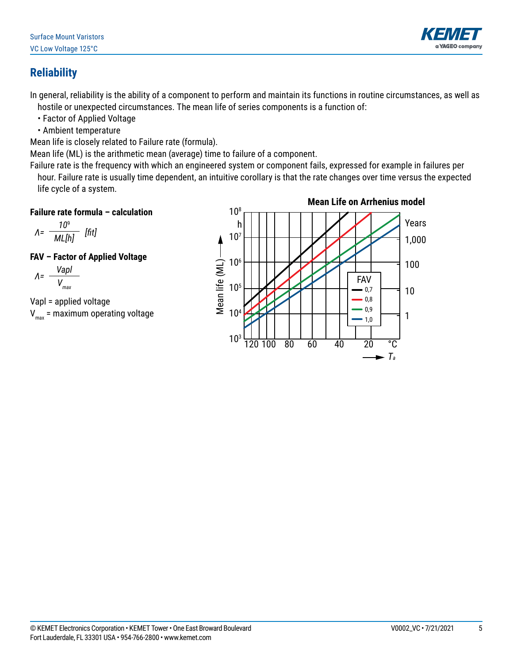

## **Reliability**

In general, reliability is the ability of a component to perform and maintain its functions in routine circumstances, as well as

- hostile or unexpected circumstances. The mean life of series components is a function of:
- Factor of Applied Voltage
- Ambient temperature

Mean life is closely related to Failure rate (formula).

Mean life (ML) is the arithmetic mean (average) time to failure of a component.

Failure rate is the frequency with which an engineered system or component fails, expressed for example in failures per hour. Failure rate is usually time dependent, an intuitive corollary is that the rate changes over time versus the expected life cycle of a system.

**Failure rate formula – calculation**

$$
\Lambda = \frac{10^9}{ML[h]} \text{ [fit]}
$$

**FAV – Factor of Applied Voltage**

$$
\Lambda = \frac{VapI}{V_{max}}
$$

Vapl = applied voltage  $V_{\text{max}}$  = maximum operating voltage

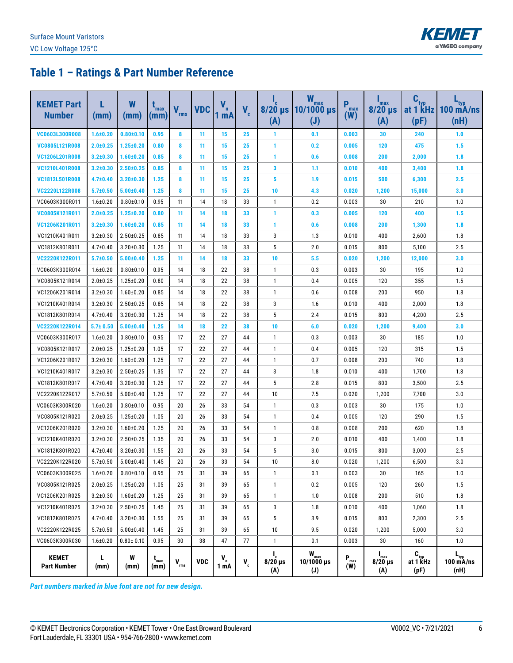

## **Table 1 – Ratings & Part Number Reference**

| <b>KEMET Part</b><br><b>Number</b> |                | W               | $t_{\text{max}}$         | $\mathbf v$<br>rms | <b>VDC</b> | V<br>1 mA  | $V_c$   | $8/20$ µs        | W<br>max<br>$10/1000$ µs                         | P<br>max<br>(W)  | max<br>$8/20$ µs                                     |                                   | $\begin{array}{c c}\n & \mathbf{C}_{\text{typ}} \\ \text{at 1 kHz} & \text{100 mA/ns}\n\end{array}$ |
|------------------------------------|----------------|-----------------|--------------------------|--------------------|------------|------------|---------|------------------|--------------------------------------------------|------------------|------------------------------------------------------|-----------------------------------|-----------------------------------------------------------------------------------------------------|
|                                    | (mm)           | (mm)            | (mm)                     |                    |            |            |         | (A)              | $(\mathsf{J})$                                   |                  | (A)                                                  | (pF)                              | (nH)                                                                                                |
| <b>VC0603L300R008</b>              | $1.6 \pm 0.20$ | $0.80 \pm 0.10$ | 0.95                     | 8                  | 11         | 15         | 25      | $\mathbf{1}$     | 0.1                                              | 0.003            | 30                                                   | 240                               | 1.0                                                                                                 |
| VC0805L121R008                     | $2.0 \pm 0.25$ | $1.25 \pm 0.20$ | 0.80                     | 8                  | 11         | 15         | 25      | 1                | 0.2                                              | 0.005            | 120                                                  | 475                               | 1.5                                                                                                 |
| VC1206L201R008                     | $3.2 \pm 0.30$ | $1.60 \pm 0.20$ | 0.85                     | 8                  | 11         | 15         | 25      | 1                | 0.6                                              | 0.008            | 200                                                  | 2,000                             | 1.8                                                                                                 |
| <b>VC1210L401R008</b>              | $3.2 \pm 0.30$ | $2.50 \pm 0.25$ | 0.85                     | 8                  | 11         | 15         | 25      | 3                | 1.1                                              | 0.010            | 400                                                  | 3,400                             | 1.8                                                                                                 |
| <b>VC1812L501R008</b>              | $4.7 \pm 0.40$ | 3.20±0.30       | 1.25                     | 8                  | 11         | 15         | 25      | 5                | 1.9                                              | 0.015            | 500                                                  | 6,300                             | 2.5                                                                                                 |
| <b>VC2220L122R008</b>              | $5.7 \pm 0.50$ | $5.00 \pm 0.40$ | 1.25                     | 8                  | 11         | 15         | 25      | 10               | 4.3                                              | 0.020            | 1,200                                                | 15,000                            | 3.0                                                                                                 |
| VC0603K300R011                     | $1.6 \pm 0.20$ | $0.80 \pm 0.10$ | 0.95                     | 11                 | 14         | 18         | 33      | $\mathbf{1}$     | 0.2                                              | 0.003            | 30                                                   | 210                               | 1.0                                                                                                 |
| VC0805K121R011                     | $2.0 \pm 0.25$ | $1.25 \pm 0.20$ | 0.80                     | 11                 | 14         | 18         | 33      | 1                | 0.3                                              | 0.005            | 120                                                  | 400                               | 1.5                                                                                                 |
| VC1206K201R011                     | $3.2 \pm 0.30$ | $1.60 \pm 0.20$ | 0.85                     | 11                 | 14         | 18         | 33      | 1                | 0.6                                              | 0.008            | 200                                                  | 1,300                             | 1.8                                                                                                 |
| VC1210K401R011                     | $3.2 \pm 0.30$ | $2.50 \pm 0.25$ | 0.85                     | 11                 | 14         | 18         | 33      | 3                | 1.3                                              | 0.010            | 400                                                  | 2,600                             | 1.8                                                                                                 |
| VC1812K801R011                     | $4.7 \pm 0.40$ | $3.20 \pm 0.30$ | 1.25                     | 11                 | 14         | 18         | 33      | 5                | 2.0                                              | 0.015            | 800                                                  | 5,100                             | 2.5                                                                                                 |
| VC2220K122R011                     | $5.7 \pm 0.50$ | 5.00±0.40       | 1.25                     | 11                 | 14         | 18         | 33      | 10               | 5.5                                              | 0.020            | 1,200                                                | 12,000                            | 3.0                                                                                                 |
| VC0603K300R014                     | $1.6 + 0.20$   | $0.80 + 0.10$   | 0.95                     | 14                 | 18         | 22         | 38      | $\mathbf{1}$     | 0.3                                              | 0.003            | 30                                                   | 195                               | 1.0                                                                                                 |
| VC0805K121R014                     | $2.0 \pm 0.25$ | $1.25 \pm 0.20$ | 0.80                     | 14                 | 18         | 22         | 38      | $\mathbf{1}$     | 0.4                                              | 0.005            | 120                                                  | 355                               | 1.5                                                                                                 |
| VC1206K201R014                     | $3.2 \pm 0.30$ | $1.60 + 0.20$   | 0.85                     | 14                 | 18         | 22         | 38      | $\mathbf{1}$     | 0.6                                              | 0.008            | 200                                                  | 950                               | 1.8                                                                                                 |
| VC1210K401R014                     | $3.2 \pm 0.30$ | $2.50 \pm 0.25$ | 0.85                     | 14                 | 18         | 22         | 38      | 3                | 1.6                                              | 0.010            | 400                                                  | 2,000                             | 1.8                                                                                                 |
| VC1812K801R014                     | $4.7 \pm 0.40$ | $3.20 \pm 0.30$ | 1.25                     | 14                 | 18         | 22         | 38      | 5                | 2.4                                              | 0.015            | 800                                                  | 4,200                             | 2.5                                                                                                 |
| VC2220K122R014                     | $5.7 \pm 0.50$ | $5.00 \pm 0.40$ | 1.25                     | 14                 | 18         | 22         | 38      | 10               | 6.0                                              | 0.020            | 1,200                                                | 9,400                             | 3.0                                                                                                 |
| VC0603K300R017                     | $1.6 + 0.20$   | $0.80 + 0.10$   | 0.95                     | 17                 | 22         | 27         | 44      | $\mathbf{1}$     | 0.3                                              | 0.003            | 30                                                   | 185                               | 1.0                                                                                                 |
| VC0805K121R017                     | $2.0 \pm 0.25$ | $1.25 \pm 0.20$ | 1.05                     | 17                 | 22         | 27         | 44      | $\mathbf{1}$     | 0.4                                              | 0.005            | 120                                                  | 315                               | 1.5                                                                                                 |
| VC1206K201R017                     | $3.2 \pm 0.30$ | $1.60 \pm 0.20$ | 1.25                     | 17                 | 22         | 27         | 44      | $\mathbf{1}$     | 0.7                                              | 0.008            | 200                                                  | 740                               | 1.8                                                                                                 |
| VC1210K401R017                     | $3.2 \pm 0.30$ | $2.50 \pm 0.25$ | 1.35                     | 17                 | 22         | 27         | 44      | 3                | 1.8                                              | 0.010            | 400                                                  | 1,700                             | 1.8                                                                                                 |
| VC1812K801R017                     | $4.7 \pm 0.40$ | $3.20 \pm 0.30$ | 1.25                     | 17                 | 22         | 27         | 44      | 5                | 2.8                                              | 0.015            | 800                                                  | 3,500                             | 2.5                                                                                                 |
| VC2220K122R017                     | $5.7 \pm 0.50$ | $5.00 \pm 0.40$ | 1.25                     | 17                 | 22         | 27         | 44      | 10               | 7.5                                              | 0.020            | 1,200                                                | 7,700                             | 3.0                                                                                                 |
| VC0603K300R020                     | $1.6 + 0.20$   | $0.80 \pm 0.10$ | 0.95                     | 20                 | 26         | 33         | 54      | $\mathbf{1}$     | 0.3                                              | 0.003            | 30                                                   | 175                               | 1.0                                                                                                 |
| VC0805K121R020                     | $2.0 + 0.25$   | $1.25 \pm 0.20$ | 1.05                     | 20                 | 26         | 33         | 54      | $\mathbf{1}$     | 0.4                                              | 0.005            | 120                                                  | 290                               | 1.5                                                                                                 |
| VC1206K201R020                     | $3.2 \pm 0.30$ | $1.60 \pm 0.20$ | 1.25                     | 20                 | 26         | 33         | 54      | $\mathbf{1}$     | 0.8                                              | 0.008            | 200                                                  | 620                               | 1.8                                                                                                 |
| VC1210K401R020                     | $3.2 \pm 0.30$ | $2.50 \pm 0.25$ | 1.35                     | 20                 | 26         | 33         | 54      | 3                | 2.0                                              | 0.010            | 400                                                  | 1,400                             | 1.8                                                                                                 |
| VC1812K801R020                     | $4.7 \pm 0.40$ | $3.20 \pm 0.30$ | 1.55                     | 20                 | 26         | 33         | 54      | 5                | 3.0                                              | 0.015            | 800                                                  | 3,000                             | 2.5                                                                                                 |
| VC2220K122R020                     | $5.7 \pm 0.50$ | $5.00 \pm 0.40$ | 1.45                     | 20                 | 26         | 33         | 54      | 10               | 8.0                                              | 0.020            | 1,200                                                | 6,500                             | 3.0                                                                                                 |
| VC0603K300R025                     | $1.6 \pm 0.20$ | $0.80 \pm 0.10$ | 0.95                     | 25                 | 31         | 39         | 65      | $\mathbf{1}$     | 0.1                                              | 0.003            | 30                                                   | 165                               | 1.0                                                                                                 |
| VC0805K121R025                     | $2.0 + 0.25$   | $1.25 \pm 0.20$ | 1.05                     | 25                 | 31         | 39         | 65      | 1                | 0.2                                              | 0.005            | 120                                                  | 260                               | 1.5                                                                                                 |
| VC1206K201R025                     | $3.2 \pm 0.30$ | $1.60 \pm 0.20$ | 1.25                     | 25                 | 31         | 39         | 65      | $\mathbf{1}$     | 1.0                                              | 0.008            | 200                                                  | 510                               | 1.8                                                                                                 |
| VC1210K401R025                     | $3.2 \pm 0.30$ | $2.50 \pm 0.25$ | 1.45                     | 25                 | 31         | 39         | 65      | 3                | 1.8                                              | 0.010            | 400                                                  | 1,060                             | 1.8                                                                                                 |
| VC1812K801R025                     | $4.7 \pm 0.40$ | $3.20 \pm 0.30$ | 1.55                     | 25                 | 31         | 39         | 65      | 5                | 3.9                                              | 0.015            | 800                                                  | 2,300                             | 2.5                                                                                                 |
| VC2220K122R025                     | $5.7 \pm 0.50$ | $5.00 \pm 0.40$ | 1.45                     | 25                 | 31         | 39         | 65      | 10               | 9.5                                              | 0.020            | 1,200                                                | 5,000                             | 3.0                                                                                                 |
| VC0603K300R030                     | $1.6 \pm 0.20$ | $0.80 \pm 0.10$ | 0.95                     | 30                 | 38         | 47         | 77      | 1                | 0.1                                              | 0.003            | 30                                                   | 160                               | 1.0                                                                                                 |
| <b>KEMET</b><br><b>Part Number</b> | L.<br>(mm)     | W<br>(mm)       | $t_{\text{max}}$<br>(mm) | $V_{rms}$          | <b>VDC</b> | V,<br>1 mA | $V_{c}$ | $8/20$ µs<br>(A) | $W_{max}$<br>$10/1000 \,\mu s$<br>$(\mathsf{U})$ | $P_{max}$<br>(W) | $\mathsf{I}_{\mathsf{max}}$<br>$8/20 \,\mu s$<br>(A) | $C_{\text{typ}}$ at 1 kHz<br>(pF) | $L_{\text{typ}}$ 100 mA/ns<br>(nH)                                                                  |

*Part numbers marked in blue font are not for new design.*

© KEMET Electronics Corporation • KEMET Tower • One East Broward Boulevard VOOC COMERCHILL VOOD VC • 7/21/2021 6 Fort Lauderdale, FL 33301 USA • 954-766-2800 • www.kemet.com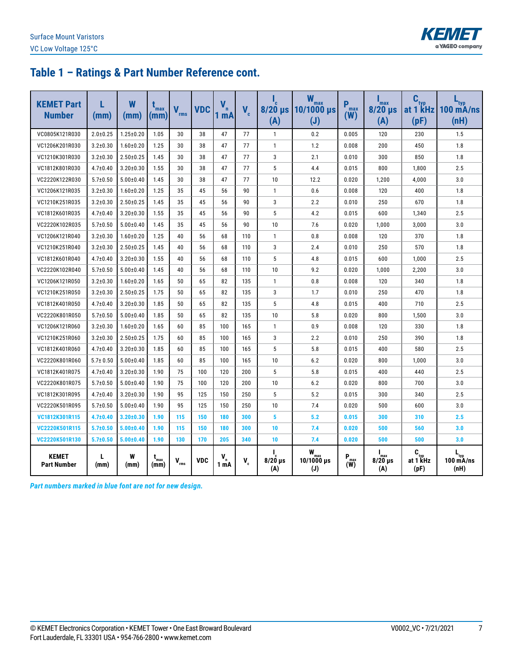

## **Table 1 – Ratings & Part Number Reference cont.**

| <b>KEMET Part</b><br><b>Number</b> | (mm)           | W<br>(mm)       | $t_{\text{max}}$<br>(mm) | V<br>rms               | <b>VDC</b> | V<br>1 mA       | $V_c$   | (A)              | W<br>max<br>8/20 µs 10/1000 µs<br>$(\mathsf{J})$ | P<br>max<br>(W)  | max<br>$8/20$ µs<br>(A)      | C.<br>(pF)                           | "tvp<br>at $1$ kHz $100$ mA/ns<br>(nH)         |
|------------------------------------|----------------|-----------------|--------------------------|------------------------|------------|-----------------|---------|------------------|--------------------------------------------------|------------------|------------------------------|--------------------------------------|------------------------------------------------|
| VC0805K121R030                     | $2.0 \pm 0.25$ | $1.25 \pm 0.20$ | 1.05                     | 30                     | 38         | 47              | 77      | $\mathbf{1}$     | 0.2                                              | 0.005            | 120                          | 230                                  | 1.5                                            |
| VC1206K201R030                     | $3.2 \pm 0.30$ | $1.60 + 0.20$   | 1.25                     | 30                     | 38         | 47              | 77      | $\mathbf{1}$     | 1.2                                              | 0.008            | 200                          | 450                                  | 1.8                                            |
| VC1210K301R030                     | $3.2 \pm 0.30$ | $2.50 \pm 0.25$ | 1.45                     | 30                     | 38         | 47              | 77      | 3                | 2.1                                              | 0.010            | 300                          | 850                                  | 1.8                                            |
| VC1812K801R030                     | $4.7 \pm 0.40$ | $3.20 \pm 0.30$ | 1.55                     | 30                     | 38         | 47              | 77      | 5                | 4.4                                              | 0.015            | 800                          | 1.800                                | 2.5                                            |
| VC2220K122R030                     | $5.7 \pm 0.50$ | $5.00 \pm 0.40$ | 1.45                     | 30                     | 38         | 47              | 77      | 10               | 12.2                                             | 0.020            | 1,200                        | 4,000                                | 3.0                                            |
| VC1206K121R035                     | $3.2 \pm 0.30$ | $1.60 + 0.20$   | 1.25                     | 35                     | 45         | 56              | 90      | $\mathbf{1}$     | 0.6                                              | 0.008            | 120                          | 400                                  | 1.8                                            |
| VC1210K251R035                     | $3.2 \pm 0.30$ | $2.50 \pm 0.25$ | 1.45                     | 35                     | 45         | 56              | 90      | 3                | 2.2                                              | 0.010            | 250                          | 670                                  | 1.8                                            |
| VC1812K601R035                     | $4.7 \pm 0.40$ | $3.20 \pm 0.30$ | 1.55                     | 35                     | 45         | 56              | 90      | 5                | 4.2                                              | 0.015            | 600                          | 1,340                                | 2.5                                            |
| VC2220K102R035                     | $5.7 \pm 0.50$ | $5.00 \pm 0.40$ | 1.45                     | 35                     | 45         | 56              | 90      | 10               | 7.6                                              | 0.020            | 1,000                        | 3,000                                | 3.0                                            |
| VC1206K121R040                     | $3.2 \pm 0.30$ | $1.60 \pm 0.20$ | 1.25                     | 40                     | 56         | 68              | 110     | $\mathbf{1}$     | 0.8                                              | 0.008            | 120                          | 370                                  | 1.8                                            |
| VC1210K251R040                     | $3.2 \pm 0.30$ | $2.50 \pm 0.25$ | 1.45                     | 40                     | 56         | 68              | 110     | 3                | 2.4                                              | 0.010            | 250                          | 570                                  | 1.8                                            |
| VC1812K601R040                     | $4.7 \pm 0.40$ | $3.20 \pm 0.30$ | 1.55                     | 40                     | 56         | 68              | 110     | 5                | 4.8                                              | 0.015            | 600                          | 1,000                                | 2.5                                            |
| VC2220K102R040                     | $5.7 \pm 0.50$ | $5.00 \pm 0.40$ | 1.45                     | 40                     | 56         | 68              | 110     | 10               | 9.2                                              | 0.020            | 1,000                        | 2,200                                | 3.0                                            |
| VC1206K121R050                     | $3.2 \pm 0.30$ | $1.60 + 0.20$   | 1.65                     | 50                     | 65         | 82              | 135     | 1                | 0.8                                              | 0.008            | 120                          | 340                                  | 1.8                                            |
| VC1210K251R050                     | $3.2 \pm 0.30$ | $2.50 \pm 0.25$ | 1.75                     | 50                     | 65         | 82              | 135     | 3                | 1.7                                              | 0.010            | 250                          | 470                                  | 1.8                                            |
| VC1812K401R050                     | $4.7 \pm 0.40$ | $3.20 \pm 0.30$ | 1.85                     | 50                     | 65         | 82              | 135     | 5                | 4.8                                              | 0.015            | 400                          | 710                                  | 2.5                                            |
| VC2220K801R050                     | $5.7 \pm 0.50$ | $5.00 \pm 0.40$ | 1.85                     | 50                     | 65         | 82              | 135     | 10               | 5.8                                              | 0.020            | 800                          | 1,500                                | 3.0                                            |
| VC1206K121R060                     | $3.2 \pm 0.30$ | $1.60 + 0.20$   | 1.65                     | 60                     | 85         | 100             | 165     | $\mathbf{1}$     | 0.9                                              | 0.008            | 120                          | 330                                  | 1.8                                            |
| VC1210K251R060                     | $3.2 \pm 0.30$ | $2.50 \pm 0.25$ | 1.75                     | 60                     | 85         | 100             | 165     | 3                | 2.2                                              | 0.010            | 250                          | 390                                  | 1.8                                            |
| VC1812K401R060                     | $4.7 \pm 0.40$ | $3.20 \pm 0.30$ | 1.85                     | 60                     | 85         | 100             | 165     | 5                | 5.8                                              | 0.015            | 400                          | 580                                  | 2.5                                            |
| VC2220K801R060                     | $5.7 \pm 0.50$ | $5.00 \pm 0.40$ | 1.85                     | 60                     | 85         | 100             | 165     | 10               | 6.2                                              | 0.020            | 800                          | 1,000                                | 3.0                                            |
| VC1812K401R075                     | $4.7 \pm 0.40$ | $3.20 \pm 0.30$ | 1.90                     | 75                     | 100        | 120             | 200     | 5                | 5.8                                              | 0.015            | 400                          | 440                                  | 2.5                                            |
| VC2220K801R075                     | $5.7 \pm 0.50$ | $5.00 \pm 0.40$ | 1.90                     | 75                     | 100        | 120             | 200     | 10               | 6.2                                              | 0.020            | 800                          | 700                                  | 3.0                                            |
| VC1812K301R095                     | $4.7 \pm 0.40$ | $3.20 \pm 0.30$ | 1.90                     | 95                     | 125        | 150             | 250     | 5                | 5.2                                              | 0.015            | 300                          | 340                                  | 2.5                                            |
| VC2220K501R095                     | $5.7 \pm 0.50$ | $5.00 \pm 0.40$ | 1.90                     | 95                     | 125        | 150             | 250     | 10               | 7.4                                              | 0.020            | 500                          | 600                                  | 3.0                                            |
| VC1812K301R115                     | $4.7 \pm 0.40$ | 3.20±0.30       | 1.90                     | 115                    | 150        | 180             | 300     | 5                | 5.2                                              | 0.015            | 300                          | 310                                  | 2.5                                            |
| VC2220K501R115                     | $5.7 \pm 0.50$ | 5.00±0.40       | 1.90                     | 115                    | 150        | 180             | 300     | 10               | 7.4                                              | 0.020            | 500                          | 560                                  | 3.0                                            |
| VC2220K501R130                     | $5.7 \pm 0.50$ | 5.00±0.40       | 1.90                     | 130                    | 170        | 205             | 340     | 10               | 7.4                                              | 0.020            | 500                          | 500                                  | 3.0                                            |
| <b>KEMET</b><br><b>Part Number</b> | L<br>(mm)      | W<br>(mm)       | t<br>max<br>(mm)         | $\mathbf{V}_{\rm rms}$ | <b>VDC</b> | $V_{n}$<br>1 mA | $V_{c}$ | $8/20$ µs<br>(A) | $W_{max}$<br>10/1000 µs<br>$(\mathsf{J})$        | $P_{max}$<br>(W) | I<br>max<br>$8/20$ µs<br>(A) | $C_{\text{two}}$<br>at 1 KHz<br>(pF) | $\mathbf{L}_{\text{typ}}$<br>100 mA/ns<br>(nH) |

*Part numbers marked in blue font are not for new design.*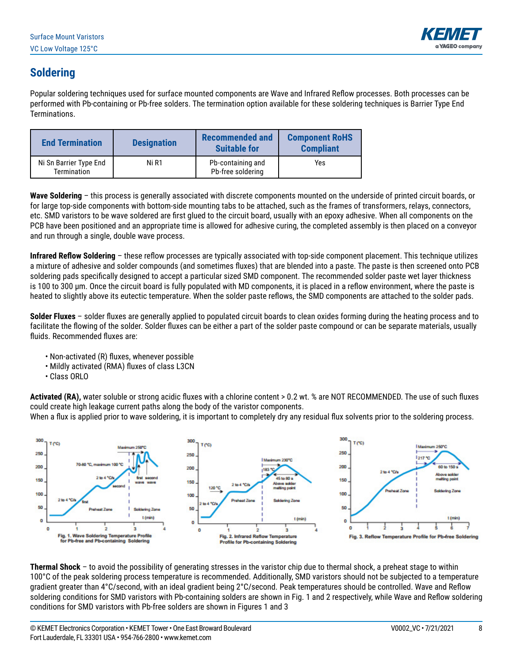

## **Soldering**

Popular soldering techniques used for surface mounted components are Wave and Infrared Reflow processes. Both processes can be performed with Pb-containing or Pb-free solders. The termination option available for these soldering techniques is Barrier Type End Terminations.

| <b>End Termination</b>                       | <b>Designation</b> | <b>Recommended and</b><br><b>Suitable for</b> | <b>Component RoHS</b><br><b>Compliant</b> |
|----------------------------------------------|--------------------|-----------------------------------------------|-------------------------------------------|
| Ni Sn Barrier Type End<br><b>Termination</b> | Ni R1              | Pb-containing and<br>Pb-free soldering        | Yes                                       |

**Wave Soldering** – this process is generally associated with discrete components mounted on the underside of printed circuit boards, or for large top-side components with bottom-side mounting tabs to be attached, such as the frames of transformers, relays, connectors, etc. SMD varistors to be wave soldered are first glued to the circuit board, usually with an epoxy adhesive. When all components on the PCB have been positioned and an appropriate time is allowed for adhesive curing, the completed assembly is then placed on a conveyor and run through a single, double wave process.

**Infrared Reflow Soldering** – these reflow processes are typically associated with top-side component placement. This technique utilizes a mixture of adhesive and solder compounds (and sometimes fluxes) that are blended into a paste. The paste is then screened onto PCB soldering pads specifically designed to accept a particular sized SMD component. The recommended solder paste wet layer thickness is 100 to 300 µm. Once the circuit board is fully populated with MD components, it is placed in a reflow environment, where the paste is heated to slightly above its eutectic temperature. When the solder paste reflows, the SMD components are attached to the solder pads.

**Solder Fluxes** – solder fluxes are generally applied to populated circuit boards to clean oxides forming during the heating process and to facilitate the flowing of the solder. Solder fluxes can be either a part of the solder paste compound or can be separate materials, usually fluids. Recommended fluxes are:

- Non-activated (R) fluxes, whenever possible
- Mildly activated (RMA) fluxes of class L3CN
- Class ORLO

**Activated (RA),** water soluble or strong acidic fluxes with a chlorine content > 0.2 wt. % are NOT RECOMMENDED. The use of such fluxes could create high leakage current paths along the body of the varistor components.

When a flux is applied prior to wave soldering, it is important to completely dry any residual flux solvents prior to the soldering process.



**Thermal Shock** – to avoid the possibility of generating stresses in the varistor chip due to thermal shock, a preheat stage to within 100°C of the peak soldering process temperature is recommended. Additionally, SMD varistors should not be subjected to a temperature gradient greater than 4°C/second, with an ideal gradient being 2°C/second. Peak temperatures should be controlled. Wave and Reflow soldering conditions for SMD varistors with Pb-containing solders are shown in Fig. 1 and 2 respectively, while Wave and Reflow soldering conditions for SMD varistors with Pb-free solders are shown in Figures 1 and 3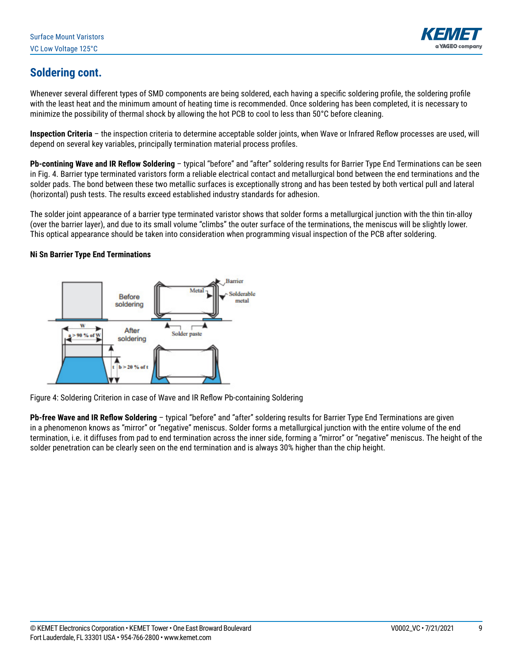

## **Soldering cont.**

Whenever several different types of SMD components are being soldered, each having a specific soldering profile, the soldering profile with the least heat and the minimum amount of heating time is recommended. Once soldering has been completed, it is necessary to minimize the possibility of thermal shock by allowing the hot PCB to cool to less than 50°C before cleaning.

**Inspection Criteria** – the inspection criteria to determine acceptable solder joints, when Wave or Infrared Reflow processes are used, will depend on several key variables, principally termination material process profiles.

**Pb-contining Wave and IR Reflow Soldering** – typical "before" and "after" soldering results for Barrier Type End Terminations can be seen in Fig. 4. Barrier type terminated varistors form a reliable electrical contact and metallurgical bond between the end terminations and the solder pads. The bond between these two metallic surfaces is exceptionally strong and has been tested by both vertical pull and lateral (horizontal) push tests. The results exceed established industry standards for adhesion.

The solder joint appearance of a barrier type terminated varistor shows that solder forms a metallurgical junction with the thin tin-alloy (over the barrier layer), and due to its small volume "climbs" the outer surface of the terminations, the meniscus will be slightly lower. This optical appearance should be taken into consideration when programming visual inspection of the PCB after soldering.

#### **Ni Sn Barrier Type End Terminations**



Figure 4: Soldering Criterion in case of Wave and IR Reflow Pb-containing Soldering

**Pb-free Wave and IR Reflow Soldering** – typical "before" and "after" soldering results for Barrier Type End Terminations are given in a phenomenon knows as "mirror" or "negative" meniscus. Solder forms a metallurgical junction with the entire volume of the end termination, i.e. it diffuses from pad to end termination across the inner side, forming a "mirror" or "negative" meniscus. The height of the solder penetration can be clearly seen on the end termination and is always 30% higher than the chip height.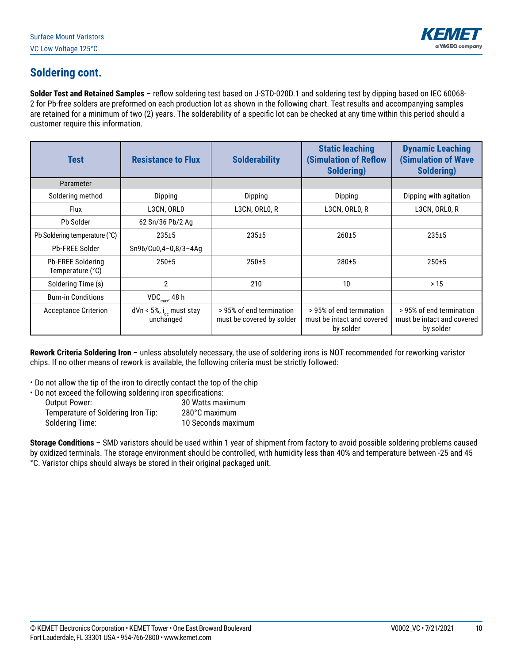

## **Soldering cont.**

**Solder Test and Retained Samples** – reflow soldering test based on J-STD-020D.1 and soldering test by dipping based on IEC 60068- 2 for Pb-free solders are preformed on each production lot as shown in the following chart. Test results and accompanying samples are retained for a minimum of two (2) years. The solderability of a specific lot can be checked at any time within this period should a customer require this information.

| <b>Test</b>                           | <b>Resistance to Flux</b>                            | <b>Solderability</b>                                  | <b>Static leaching</b><br><b>(Simulation of Reflow</b><br>Soldering) | <b>Dynamic Leaching</b><br><b>(Simulation of Wave</b><br>Soldering) |
|---------------------------------------|------------------------------------------------------|-------------------------------------------------------|----------------------------------------------------------------------|---------------------------------------------------------------------|
| Parameter                             |                                                      |                                                       |                                                                      |                                                                     |
| Soldering method                      | Dipping                                              | Dipping                                               | Dipping                                                              | Dipping with agitation                                              |
| Flux                                  | L3CN, ORLO                                           | L3CN, ORLO, R                                         | L3CN, ORLO, R                                                        | L3CN, ORLO, R                                                       |
| Pb Solder                             | 62 Sn/36 Pb/2 Ag                                     |                                                       |                                                                      |                                                                     |
| Pb Soldering temperature (°C)         | $235 + 5$                                            | $235 + 5$                                             | $260 + 5$                                                            | $235 + 5$                                                           |
| <b>Pb-FREE Solder</b>                 | Sn96/Cu0,4-0,8/3-4Ag                                 |                                                       |                                                                      |                                                                     |
| Pb-FREE Soldering<br>Temperature (°C) | $250 + 5$                                            | $250 + 5$                                             | $280 + 5$                                                            | $250 + 5$                                                           |
| Soldering Time (s)                    | $\overline{2}$                                       | 210                                                   | 10                                                                   | > 15                                                                |
| <b>Burn-in Conditions</b>             | $VDC_{max}$ , 48 h                                   |                                                       |                                                                      |                                                                     |
| <b>Acceptance Criterion</b>           | $dVn < 5\%$ , i <sub>de</sub> must stay<br>unchanged | > 95% of end termination<br>must be covered by solder | > 95% of end termination<br>must be intact and covered<br>by solder  | > 95% of end termination<br>must be intact and covered<br>by solder |

**Rework Criteria Soldering Iron** – unless absolutely necessary, the use of soldering irons is NOT recommended for reworking varistor chips. If no other means of rework is available, the following criteria must be strictly followed:

• Do not allow the tip of the iron to directly contact the top of the chip

| . Do not exceed the following soldering iron specifications: |                    |
|--------------------------------------------------------------|--------------------|
| Output Power:                                                | 30 Watts maximum   |
| Temperature of Soldering Iron Tip:                           | 280°C maximum      |
| <b>Soldering Time:</b>                                       | 10 Seconds maximum |

**Storage Conditions** – SMD varistors should be used within 1 year of shipment from factory to avoid possible soldering problems caused by oxidized terminals. The storage environment should be controlled, with humidity less than 40% and temperature between -25 and 45 °C. Varistor chips should always be stored in their original packaged unit.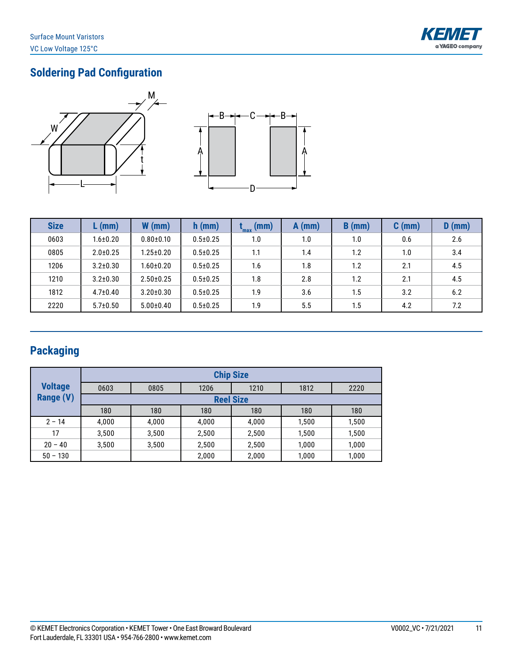

# **Soldering Pad Configuration**





| <b>Size</b> | $L$ (mm)       | $W$ (mm)        | $h$ (mm)       | (mm)<br>l<br>"max | $A$ (mm) | $B$ (mm) | $C$ (mm) | $D$ (mm) |
|-------------|----------------|-----------------|----------------|-------------------|----------|----------|----------|----------|
| 0603        | $1.6 \pm 0.20$ | $0.80 + 0.10$   | $0.5 \pm 0.25$ | 1.0               | 1.0      | 1.0      | 0.6      | 2.6      |
| 0805        | $2.0 \pm 0.25$ | $1.25 \pm 0.20$ | $0.5 \pm 0.25$ | 1.1               | 1.4      | 1.2      | 1.0      | 3.4      |
| 1206        | $3.2 \pm 0.30$ | 1.60±0.20       | $0.5 \pm 0.25$ | 1.6               | 1.8      | 1.2      | 2.1      | 4.5      |
| 1210        | $3.2 \pm 0.30$ | $2.50 \pm 0.25$ | $0.5 \pm 0.25$ | 1.8               | 2.8      | 1.2      | 2.1      | 4.5      |
| 1812        | $4.7 \pm 0.40$ | $3.20 \pm 0.30$ | $0.5 \pm 0.25$ | 1.9               | 3.6      | 1.5      | 3.2      | 6.2      |
| 2220        | $5.7 \pm 0.50$ | $5.00 \pm 0.40$ | $0.5 \pm 0.25$ | 1.9               | 5.5      | 1.5      | 4.2      | 7.2      |

# **Packaging**

|                  |       | <b>Chip Size</b> |       |                  |       |       |  |  |  |  |  |  |  |
|------------------|-------|------------------|-------|------------------|-------|-------|--|--|--|--|--|--|--|
| <b>Voltage</b>   | 0603  | 0805             | 1210  | 1812             | 2220  |       |  |  |  |  |  |  |  |
| <b>Range (V)</b> |       |                  |       | <b>Reel Size</b> |       |       |  |  |  |  |  |  |  |
|                  | 180   | 180              | 180   | 180              | 180   | 180   |  |  |  |  |  |  |  |
| $2 - 14$         | 4,000 | 4,000            | 4,000 | 4,000            | 1,500 | 1,500 |  |  |  |  |  |  |  |
| 17               | 3,500 | 3,500            | 2,500 | 2,500            | 1,500 | 1,500 |  |  |  |  |  |  |  |
| $20 - 40$        | 3,500 | 3,500            | 2,500 | 2,500            | 1,000 | 1,000 |  |  |  |  |  |  |  |
| $50 - 130$       |       |                  | 2,000 | 2,000            | 1,000 | 1,000 |  |  |  |  |  |  |  |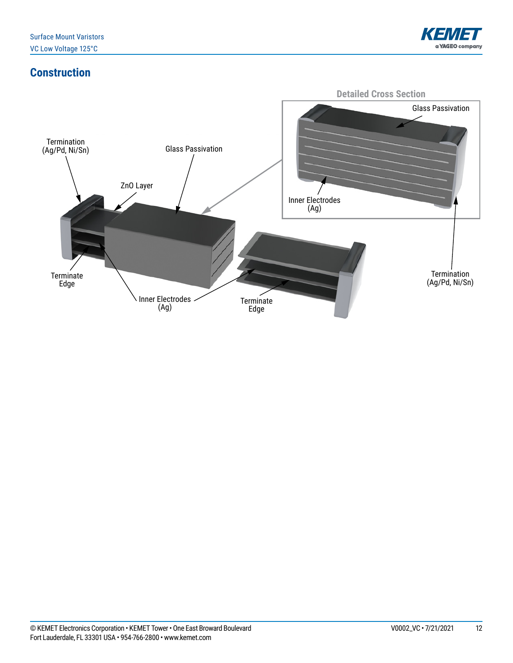

#### **Construction**

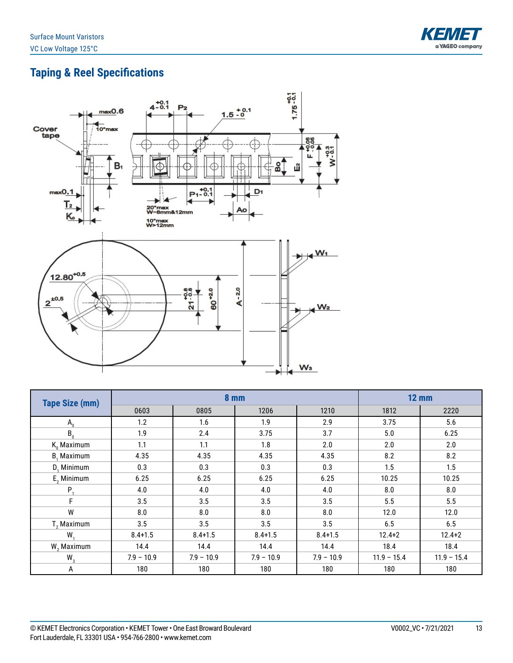

# **Taping & Reel Specifications**



| <b>Tape Size (mm)</b>  | 8 mm         |              |              |              | <b>12 mm</b>  |               |
|------------------------|--------------|--------------|--------------|--------------|---------------|---------------|
|                        | 0603         | 0805         | 1206         | 1210         | 1812          | 2220          |
| $A_{n}$                | 1.2          | 1.6          | 1.9          | 2.9          | 3.75          | 5.6           |
| $B_{0}$                | 1.9          | 2.4          | 3.75         | 3.7          | 5.0           | 6.25          |
| $K_0$ Maximum          | 1.1          | 1.1          | 1.8          | 2.0          | 2.0           | 2.0           |
| B, Maximum             | 4.35         | 4.35         | 4.35         | 4.35         | 8.2           | 8.2           |
| D, Minimum             | 0.3          | 0.3          | 0.3          | 0.3          | 1.5           | 1.5           |
| $E2$ Minimum           | 6.25         | 6.25         | 6.25         | 6.25         | 10.25         | 10.25         |
| P.                     | 4.0          | 4.0          | 4.0          | 4.0          | 8.0           | 8.0           |
| F                      | 3.5          | 3.5          | 3.5          | 3.5          | 5.5           | 5.5           |
| W                      | 8.0          | 8.0          | 8.0          | 8.0          | 12.0          | 12.0          |
| T <sub>2</sub> Maximum | 3.5          | 3.5          | 3.5          | 3.5          | 6.5           | 6.5           |
| W,                     | $8.4 + 1.5$  | $8.4 + 1.5$  | $8.4 + 1.5$  | $8.4 + 1.5$  | $12.4 + 2$    | $12.4 + 2$    |
| W <sub>2</sub> Maximum | 14.4         | 14.4         | 14.4         | 14.4         | 18.4          | 18.4          |
| $W_{3}$                | $7.9 - 10.9$ | $7.9 - 10.9$ | $7.9 - 10.9$ | $7.9 - 10.9$ | $11.9 - 15.4$ | $11.9 - 15.4$ |
| А                      | 180          | 180          | 180          | 180          | 180           | 180           |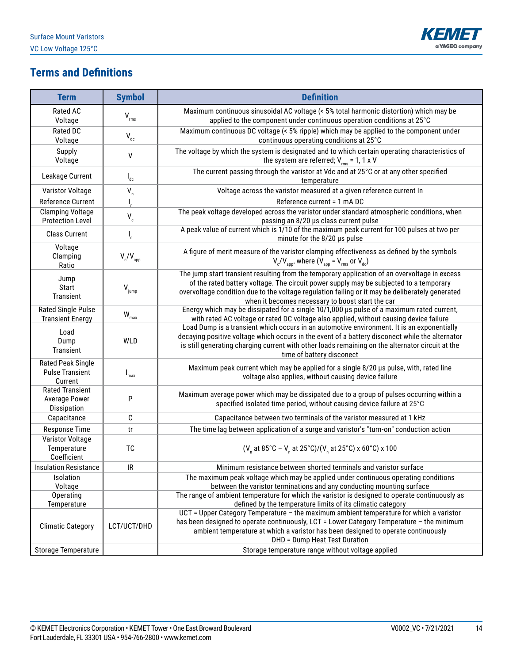

## **Terms and Definitions**

| <b>Term</b>                                                   | <b>Symbol</b>                               | <b>Definition</b>                                                                                                                                                                                                                                                                                                                              |  |
|---------------------------------------------------------------|---------------------------------------------|------------------------------------------------------------------------------------------------------------------------------------------------------------------------------------------------------------------------------------------------------------------------------------------------------------------------------------------------|--|
| Rated AC<br>Voltage                                           | $V_{rms}$                                   | Maximum continuous sinusoidal AC voltage (< 5% total harmonic distortion) which may be<br>applied to the component under continuous operation conditions at 25°C                                                                                                                                                                               |  |
| Rated DC<br>Voltage                                           | $V_{dc}$                                    | Maximum continuous DC voltage (< 5% ripple) which may be applied to the component under<br>continuous operating conditions at 25°C                                                                                                                                                                                                             |  |
| Supply<br>Voltage                                             | V                                           | The voltage by which the system is designated and to which certain operating characteristics of<br>the system are referred; $V_{rms}$ = 1, 1 x V                                                                                                                                                                                               |  |
| Leakage Current                                               | $\int_{dc}$                                 | The current passing through the varistor at Vdc and at 25°C or at any other specified<br>temperature                                                                                                                                                                                                                                           |  |
| Varistor Voltage                                              | $V_{n}$                                     | Voltage across the varistor measured at a given reference current In                                                                                                                                                                                                                                                                           |  |
| <b>Reference Current</b>                                      | $\mathsf{I}_{\mathsf{n}}$                   | Reference current = 1 mA DC                                                                                                                                                                                                                                                                                                                    |  |
| <b>Clamping Voltage</b><br><b>Protection Level</b>            | $\mathsf{V}_{\scriptscriptstyle{\text{c}}}$ | The peak voltage developed across the varistor under standard atmospheric conditions, when<br>passing an 8/20 µs class current pulse                                                                                                                                                                                                           |  |
| <b>Class Current</b>                                          | $\mathsf{I}_{\rm c}$                        | A peak value of current which is 1/10 of the maximum peak current for 100 pulses at two per<br>minute for the 8/20 µs pulse                                                                                                                                                                                                                    |  |
| Voltage<br>Clamping<br>Ratio                                  | $V_c/V_{app}$                               | A figure of merit measure of the varistor clamping effectiveness as defined by the symbols<br>$V_c/V_{\text{app}}$ , where $(V_{\text{app}} = V_{\text{rms}}$ or $V_{\text{dc}}$                                                                                                                                                               |  |
| Jump<br>Start<br><b>Transient</b>                             | $\mathbf{V}_{\text{jump}}$                  | The jump start transient resulting from the temporary application of an overvoltage in excess<br>of the rated battery voltage. The circuit power supply may be subjected to a temporary<br>overvoltage condition due to the voltage regulation failing or it may be deliberately generated<br>when it becomes necessary to boost start the car |  |
| <b>Rated Single Pulse</b><br><b>Transient Energy</b>          | $W_{max}$                                   | Energy which may be dissipated for a single 10/1,000 us pulse of a maximum rated current,<br>with rated AC voltage or rated DC voltage also applied, without causing device failure                                                                                                                                                            |  |
| Load<br>Dump<br>Transient                                     | WLD                                         | Load Dump is a transient which occurs in an automotive environment. It is an exponentially<br>decaying positive voltage which occurs in the event of a battery disconect while the alternator<br>is still generating charging current with other loads remaining on the alternator circuit at the<br>time of battery disconect                 |  |
| <b>Rated Peak Single</b><br><b>Pulse Transient</b><br>Current | $\mathsf{I}_{\textsf{max}}$                 | Maximum peak current which may be applied for a single 8/20 µs pulse, with, rated line<br>voltage also applies, without causing device failure                                                                                                                                                                                                 |  |
| <b>Rated Transient</b><br><b>Average Power</b><br>Dissipation | ${\sf P}$                                   | Maximum average power which may be dissipated due to a group of pulses occurring within a<br>specified isolated time period, without causing device failure at 25°C                                                                                                                                                                            |  |
| Capacitance                                                   | C                                           | Capacitance between two terminals of the varistor measured at 1 kHz                                                                                                                                                                                                                                                                            |  |
| Response Time                                                 | tr                                          | The time lag between application of a surge and varistor's "turn-on" conduction action                                                                                                                                                                                                                                                         |  |
| Varistor Voltage<br>Temperature<br>Coefficient                | TC                                          | (V <sub>n</sub> at 85°C – V <sub>n</sub> at 25°C)/(V <sub>n</sub> at 25°C) x 60°C) x 100                                                                                                                                                                                                                                                       |  |
| <b>Insulation Resistance</b>                                  | IR                                          | Minimum resistance between shorted terminals and varistor surface                                                                                                                                                                                                                                                                              |  |
| Isolation                                                     |                                             | The maximum peak voltage which may be applied under continuous operating conditions                                                                                                                                                                                                                                                            |  |
| Voltage                                                       |                                             | between the varistor terminations and any conducting mounting surface                                                                                                                                                                                                                                                                          |  |
| Operating                                                     |                                             | The range of ambient temperature for which the varistor is designed to operate continuously as                                                                                                                                                                                                                                                 |  |
| Temperature                                                   |                                             | defined by the temperature limits of its climatic category<br>UCT = Upper Category Temperature - the maximum ambient temperature for which a varistor                                                                                                                                                                                          |  |
| <b>Climatic Category</b>                                      | LCT/UCT/DHD                                 | has been designed to operate continuously, LCT = Lower Category Temperature - the minimum<br>ambient temperature at which a varistor has been designed to operate continuously<br><b>DHD = Dump Heat Test Duration</b>                                                                                                                         |  |
| <b>Storage Temperature</b>                                    |                                             | Storage temperature range without voltage applied                                                                                                                                                                                                                                                                                              |  |